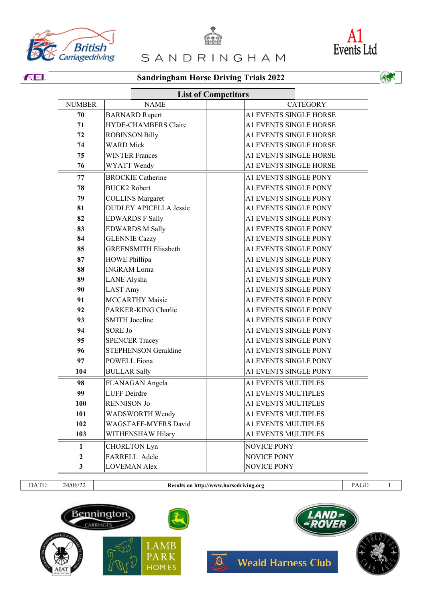





**FEI.** 

DATE: 24/06/22 **Results on http://www.horsedriving.org** PAGE: 1



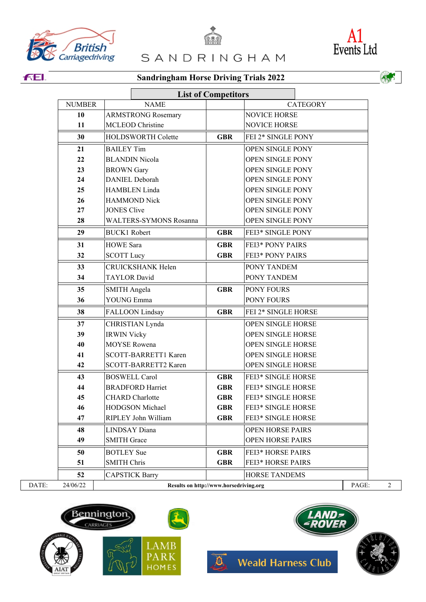





**FEI.**